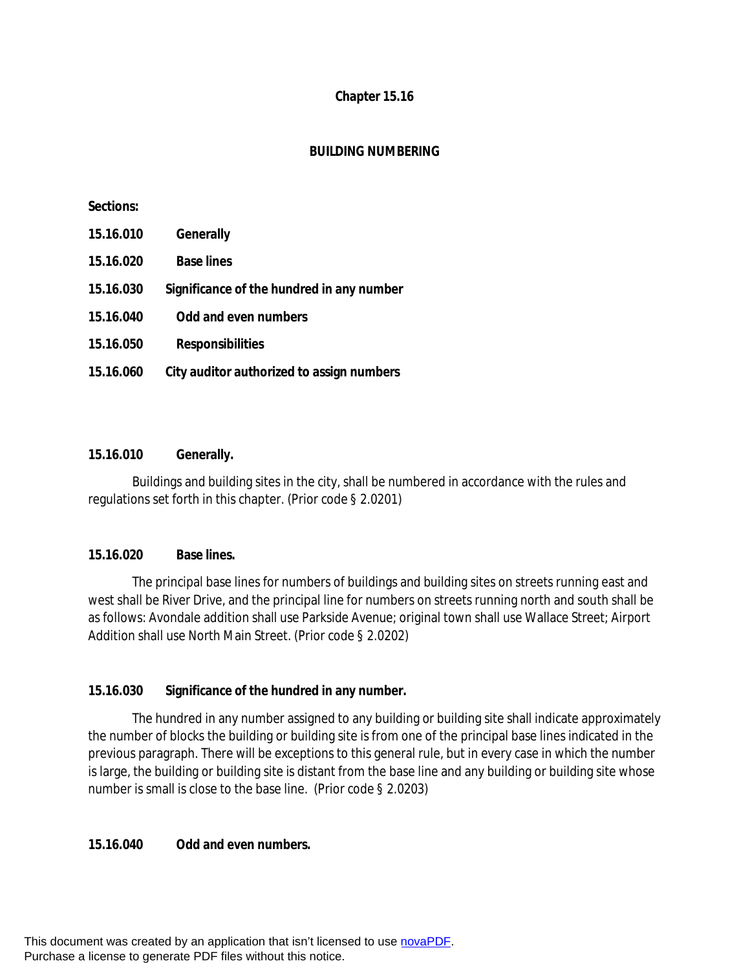### **Chapter 15.16**

### **BUILDING NUMBERING**

#### **Sections:**

| 15.16.010 | <b>Generally</b>                          |
|-----------|-------------------------------------------|
| 15.16.020 | <b>Base lines</b>                         |
| 15.16.030 | Significance of the hundred in any number |
| 15.16.040 | <b>Odd and even numbers</b>               |
| 15.16.050 | <b>Responsibilities</b>                   |
| 15.16.060 | City auditor authorized to assign numbers |

#### **15.16.010 Generally.**

Buildings and building sites in the city, shall be numbered in accordance with the rules and regulations set forth in this chapter. (Prior code § 2.0201)

## **15.16.020 Base lines.**

The principal base lines for numbers of buildings and building sites on streets running east and west shall be River Drive, and the principal line for numbers on streets running north and south shall be as follows: Avondale addition shall use Parkside Avenue; original town shall use Wallace Street; Airport Addition shall use North Main Street. (Prior code § 2.0202)

## **15.16.030 Significance of the hundred in any number.**

The hundred in any number assigned to any building or building site shall indicate approximately the number of blocks the building or building site is from one of the principal base lines indicated in the previous paragraph. There will be exceptions to this general rule, but in every case in which the number is large, the building or building site is distant from the base line and any building or building site whose number is small is close to the base line. (Prior code § 2.0203)

#### **15.16.040 Odd and even numbers.**

This document was created by an application that isn't licensed to use [novaPDF](http://www.novapdf.com/). Purchase a license to generate PDF files without this notice.